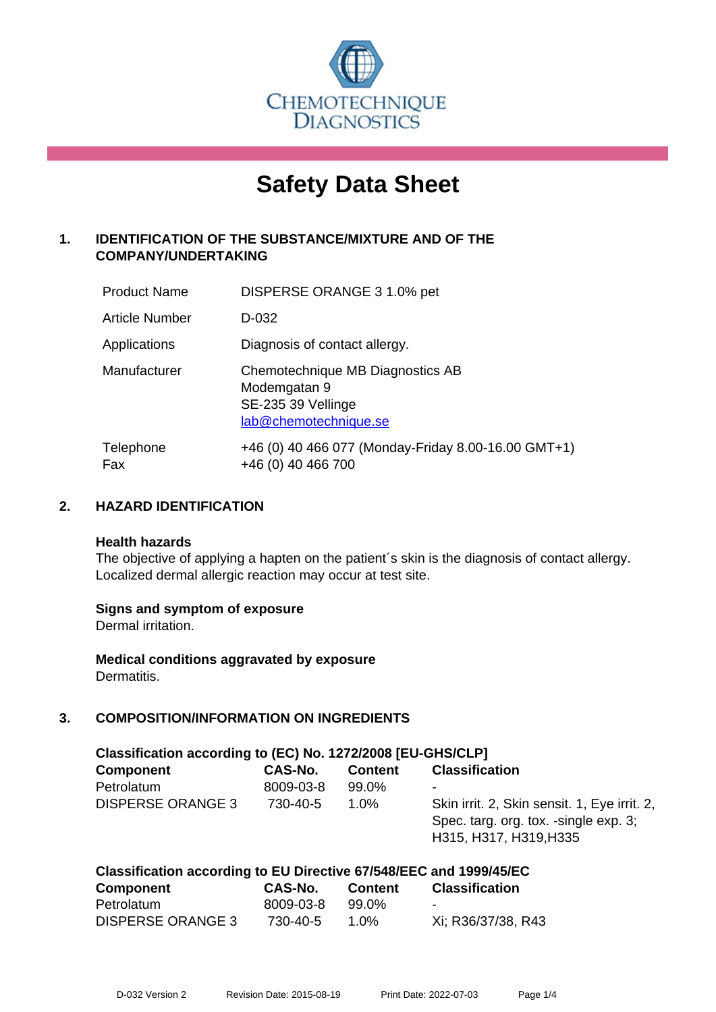

# **Safety Data Sheet**

# **1. IDENTIFICATION OF THE SUBSTANCE/MIXTURE AND OF THE COMPANY/UNDERTAKING**

| <b>Product Name</b>   | DISPERSE ORANGE 3 1.0% pet                                                                      |
|-----------------------|-------------------------------------------------------------------------------------------------|
| <b>Article Number</b> | D-032                                                                                           |
| Applications          | Diagnosis of contact allergy.                                                                   |
| Manufacturer          | Chemotechnique MB Diagnostics AB<br>Modemgatan 9<br>SE-235 39 Vellinge<br>lab@chemotechnique.se |
| Telephone<br>Fax      | +46 (0) 40 466 077 (Monday-Friday 8.00-16.00 GMT+1)<br>+46 (0) 40 466 700                       |

## **2. HAZARD IDENTIFICATION**

#### **Health hazards**

The objective of applying a hapten on the patient's skin is the diagnosis of contact allergy. Localized dermal allergic reaction may occur at test site.

## **Signs and symptom of exposure**

Dermal irritation.

**Medical conditions aggravated by exposure** Dermatitis.

# **3. COMPOSITION/INFORMATION ON INGREDIENTS**

| Classification according to (EC) No. 1272/2008 [EU-GHS/CLP] |           |                |                                                                                                                 |  |  |
|-------------------------------------------------------------|-----------|----------------|-----------------------------------------------------------------------------------------------------------------|--|--|
| <b>Component</b>                                            | CAS-No.   | <b>Content</b> | <b>Classification</b>                                                                                           |  |  |
| Petrolatum                                                  | 8009-03-8 | 99.0%          | ۰                                                                                                               |  |  |
| <b>DISPERSE ORANGE 3</b>                                    | 730-40-5  | 1.0%           | Skin irrit. 2, Skin sensit. 1, Eye irrit. 2,<br>Spec. targ. org. tox. -single exp. 3;<br>H315, H317, H319, H335 |  |  |

| Classification according to EU Directive 67/548/EEC and 1999/45/EC |           |                |                       |  |
|--------------------------------------------------------------------|-----------|----------------|-----------------------|--|
| <b>Component</b>                                                   | CAS-No.   | <b>Content</b> | <b>Classification</b> |  |
| Petrolatum                                                         | 8009-03-8 | 99.0%          | -                     |  |
| <b>DISPERSE ORANGE 3</b>                                           | 730-40-5  | 1.0%           | Xi; R36/37/38, R43    |  |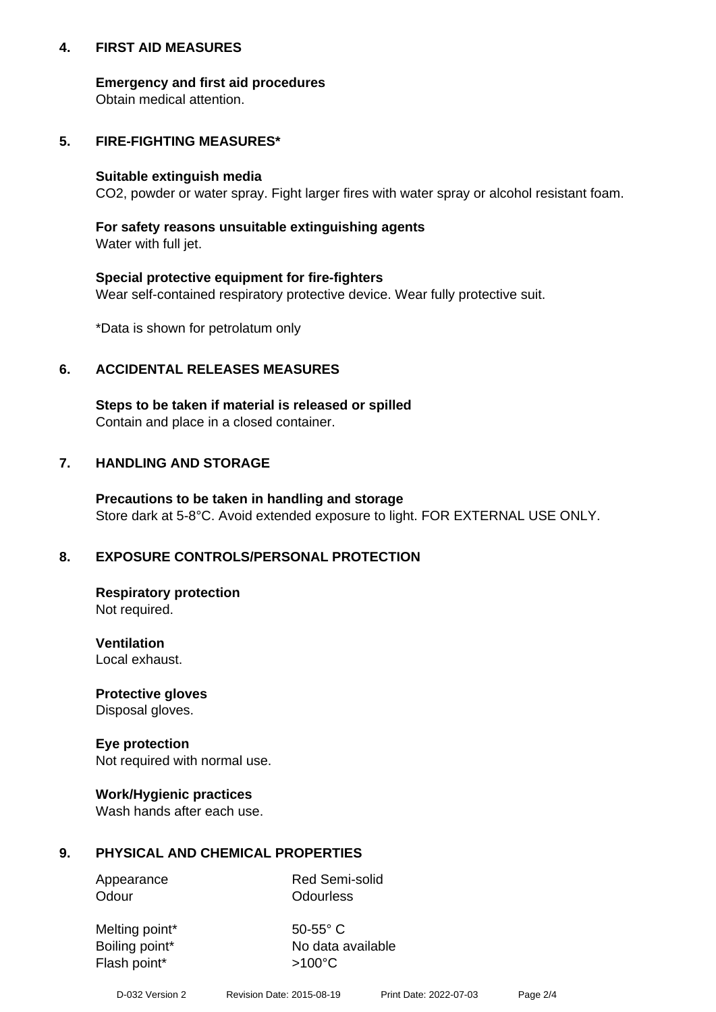## **4. FIRST AID MEASURES**

## **Emergency and first aid procedures**

Obtain medical attention.

# **5. FIRE-FIGHTING MEASURES\***

#### **Suitable extinguish media**

CO2, powder or water spray. Fight larger fires with water spray or alcohol resistant foam.

# **For safety reasons unsuitable extinguishing agents**

Water with full jet.

## **Special protective equipment for fire-fighters**

Wear self-contained respiratory protective device. Wear fully protective suit.

\*Data is shown for petrolatum only

## **6. ACCIDENTAL RELEASES MEASURES**

**Steps to be taken if material is released or spilled** Contain and place in a closed container.

# **7. HANDLING AND STORAGE**

**Precautions to be taken in handling and storage** Store dark at 5-8°C. Avoid extended exposure to light. FOR EXTERNAL USE ONLY.

# **8. EXPOSURE CONTROLS/PERSONAL PROTECTION**

**Respiratory protection** Not required.

**Ventilation** Local exhaust.

**Protective gloves** Disposal gloves.

#### **Eye protection** Not required with normal use.

## **Work/Hygienic practices**

Wash hands after each use.

## **9. PHYSICAL AND CHEMICAL PROPERTIES**

Odour **Odourless** 

Appearance Red Semi-solid

Melting point\* 50-55° C Flash point\*  $>100^{\circ}$ C

Boiling point\* No data available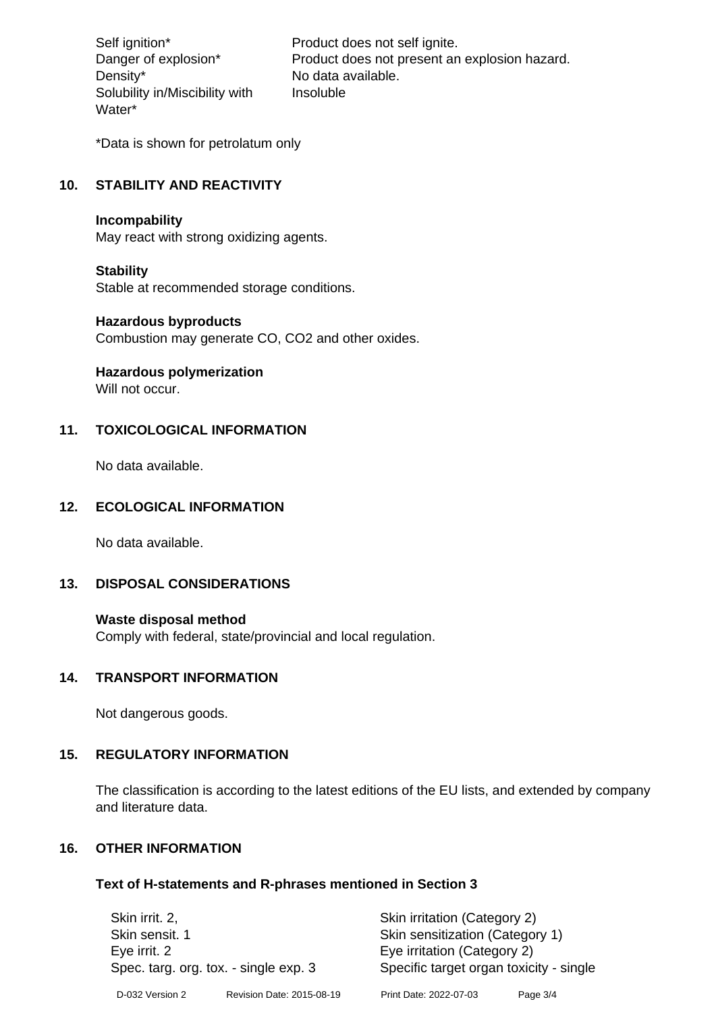Density\* No data available. Solubility in/Miscibility with Water\*

Self ignition\* Product does not self ignite. Danger of explosion\* Product does not present an explosion hazard. Insoluble

\*Data is shown for petrolatum only

# **10. STABILITY AND REACTIVITY**

#### **Incompability**

May react with strong oxidizing agents.

#### **Stability**

Stable at recommended storage conditions.

#### **Hazardous byproducts**

Combustion may generate CO, CO2 and other oxides.

**Hazardous polymerization**

Will not occur.

## **11. TOXICOLOGICAL INFORMATION**

No data available.

## **12. ECOLOGICAL INFORMATION**

No data available.

## **13. DISPOSAL CONSIDERATIONS**

#### **Waste disposal method**

Comply with federal, state/provincial and local regulation.

#### **14. TRANSPORT INFORMATION**

Not dangerous goods.

## **15. REGULATORY INFORMATION**

The classification is according to the latest editions of the EU lists, and extended by company and literature data.

## **16. OTHER INFORMATION**

#### **Text of H-statements and R-phrases mentioned in Section 3**

| Skin irrit. 2,                        |                           | Skin irritation (Category 2)            |          |  |
|---------------------------------------|---------------------------|-----------------------------------------|----------|--|
| Skin sensit. 1                        |                           | Skin sensitization (Category 1)         |          |  |
| Eye irrit. 2                          |                           | Eye irritation (Category 2)             |          |  |
| Spec. targ. org. tox. - single exp. 3 |                           | Specific target organ toxicity - single |          |  |
| D-032 Version 2                       | Revision Date: 2015-08-19 | Print Date: 2022-07-03                  | Page 3/4 |  |